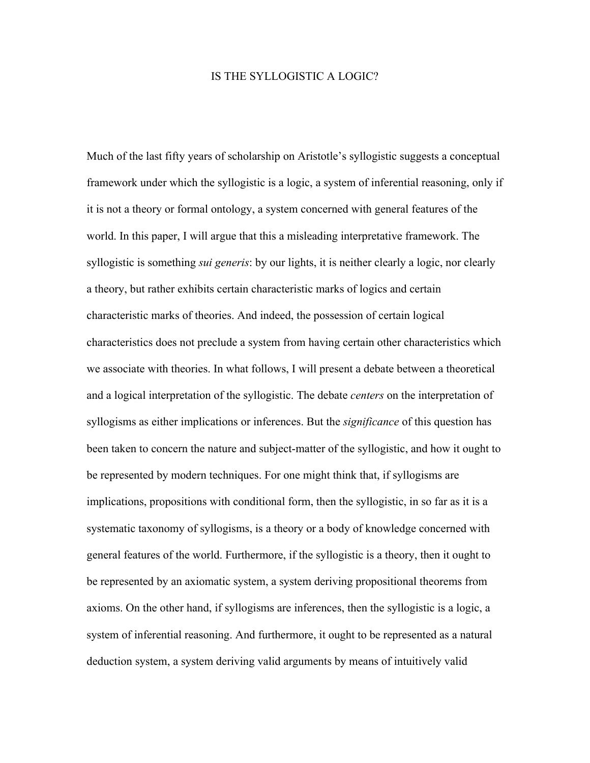### IS THE SYLLOGISTIC A LOGIC?

Much of the last fifty years of scholarship on Aristotle's syllogistic suggests a conceptual framework under which the syllogistic is a logic, a system of inferential reasoning, only if it is not a theory or formal ontology, a system concerned with general features of the world. In this paper, I will argue that this a misleading interpretative framework. The syllogistic is something *sui generis*: by our lights, it is neither clearly a logic, nor clearly a theory, but rather exhibits certain characteristic marks of logics and certain characteristic marks of theories. And indeed, the possession of certain logical characteristics does not preclude a system from having certain other characteristics which we associate with theories. In what follows, I will present a debate between a theoretical and a logical interpretation of the syllogistic. The debate *centers* on the interpretation of syllogisms as either implications or inferences. But the *significance* of this question has been taken to concern the nature and subject-matter of the syllogistic, and how it ought to be represented by modern techniques. For one might think that, if syllogisms are implications, propositions with conditional form, then the syllogistic, in so far as it is a systematic taxonomy of syllogisms, is a theory or a body of knowledge concerned with general features of the world. Furthermore, if the syllogistic is a theory, then it ought to be represented by an axiomatic system, a system deriving propositional theorems from axioms. On the other hand, if syllogisms are inferences, then the syllogistic is a logic, a system of inferential reasoning. And furthermore, it ought to be represented as a natural deduction system, a system deriving valid arguments by means of intuitively valid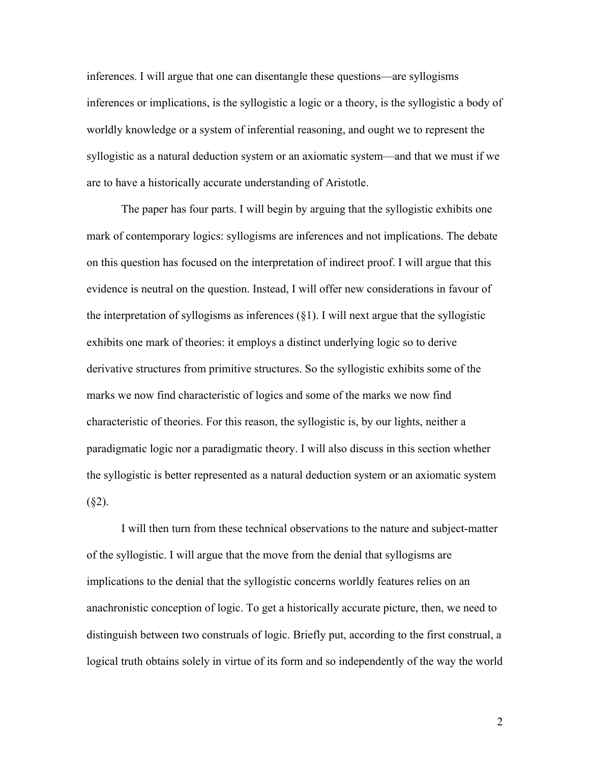inferences. I will argue that one can disentangle these questions—are syllogisms inferences or implications, is the syllogistic a logic or a theory, is the syllogistic a body of worldly knowledge or a system of inferential reasoning, and ought we to represent the syllogistic as a natural deduction system or an axiomatic system—and that we must if we are to have a historically accurate understanding of Aristotle.

The paper has four parts. I will begin by arguing that the syllogistic exhibits one mark of contemporary logics: syllogisms are inferences and not implications. The debate on this question has focused on the interpretation of indirect proof. I will argue that this evidence is neutral on the question. Instead, I will offer new considerations in favour of the interpretation of syllogisms as inferences  $(\S1)$ . I will next argue that the syllogistic exhibits one mark of theories: it employs a distinct underlying logic so to derive derivative structures from primitive structures. So the syllogistic exhibits some of the marks we now find characteristic of logics and some of the marks we now find characteristic of theories. For this reason, the syllogistic is, by our lights, neither a paradigmatic logic nor a paradigmatic theory. I will also discuss in this section whether the syllogistic is better represented as a natural deduction system or an axiomatic system  $(\$2).$ 

I will then turn from these technical observations to the nature and subject-matter of the syllogistic. I will argue that the move from the denial that syllogisms are implications to the denial that the syllogistic concerns worldly features relies on an anachronistic conception of logic. To get a historically accurate picture, then, we need to distinguish between two construals of logic. Briefly put, according to the first construal, a logical truth obtains solely in virtue of its form and so independently of the way the world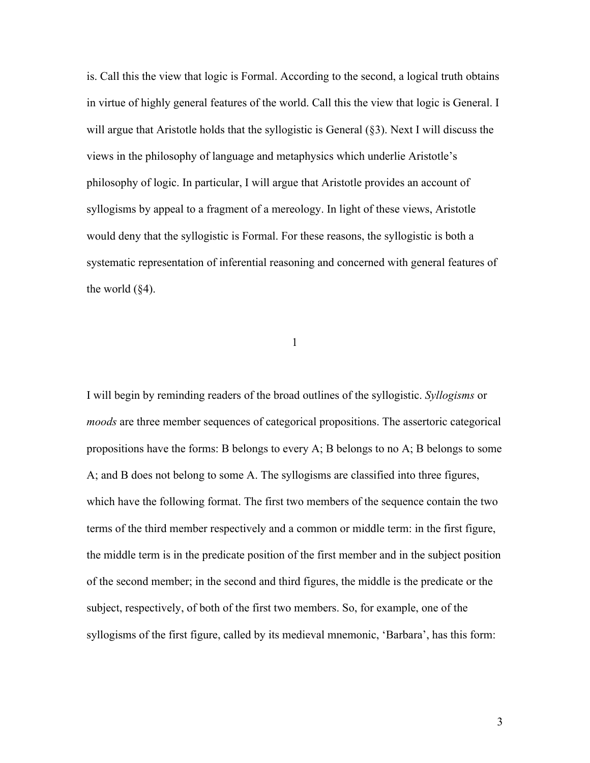is. Call this the view that logic is Formal. According to the second, a logical truth obtains in virtue of highly general features of the world. Call this the view that logic is General. I will argue that Aristotle holds that the syllogistic is General (§3). Next I will discuss the views in the philosophy of language and metaphysics which underlie Aristotle's philosophy of logic. In particular, I will argue that Aristotle provides an account of syllogisms by appeal to a fragment of a mereology. In light of these views, Aristotle would deny that the syllogistic is Formal. For these reasons, the syllogistic is both a systematic representation of inferential reasoning and concerned with general features of the world  $(\S4)$ .

### 1

I will begin by reminding readers of the broad outlines of the syllogistic. *Syllogisms* or *moods* are three member sequences of categorical propositions. The assertoric categorical propositions have the forms: B belongs to every A; B belongs to no A; B belongs to some A; and B does not belong to some A. The syllogisms are classified into three figures, which have the following format. The first two members of the sequence contain the two terms of the third member respectively and a common or middle term: in the first figure, the middle term is in the predicate position of the first member and in the subject position of the second member; in the second and third figures, the middle is the predicate or the subject, respectively, of both of the first two members. So, for example, one of the syllogisms of the first figure, called by its medieval mnemonic, 'Barbara', has this form: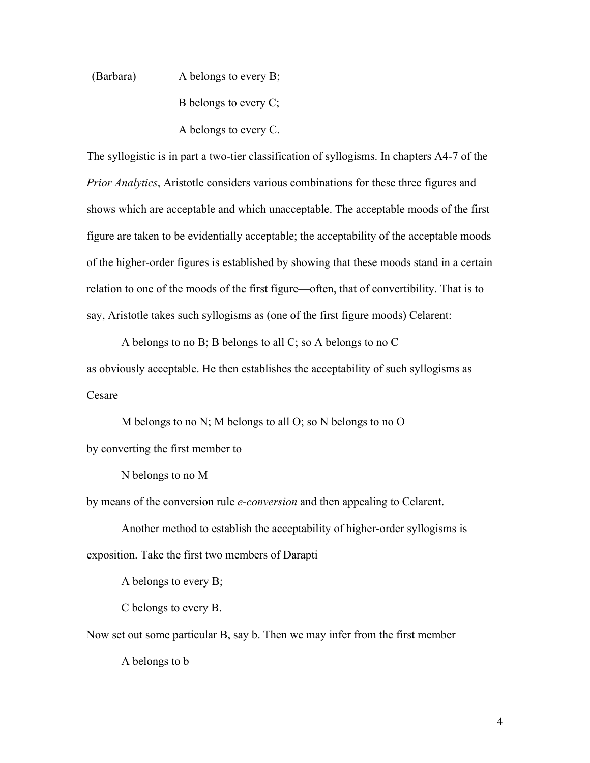# (Barbara) A belongs to every B; B belongs to every C; A belongs to every C.

The syllogistic is in part a two-tier classification of syllogisms. In chapters A4-7 of the *Prior Analytics*, Aristotle considers various combinations for these three figures and shows which are acceptable and which unacceptable. The acceptable moods of the first figure are taken to be evidentially acceptable; the acceptability of the acceptable moods of the higher-order figures is established by showing that these moods stand in a certain relation to one of the moods of the first figure—often, that of convertibility. That is to say, Aristotle takes such syllogisms as (one of the first figure moods) Celarent:

A belongs to no B; B belongs to all C; so A belongs to no C as obviously acceptable. He then establishes the acceptability of such syllogisms as Cesare

M belongs to no N; M belongs to all O; so N belongs to no O by converting the first member to

N belongs to no M

by means of the conversion rule *e-conversion* and then appealing to Celarent.

Another method to establish the acceptability of higher-order syllogisms is exposition. Take the first two members of Darapti

A belongs to every B;

C belongs to every B.

Now set out some particular B, say b. Then we may infer from the first member A belongs to b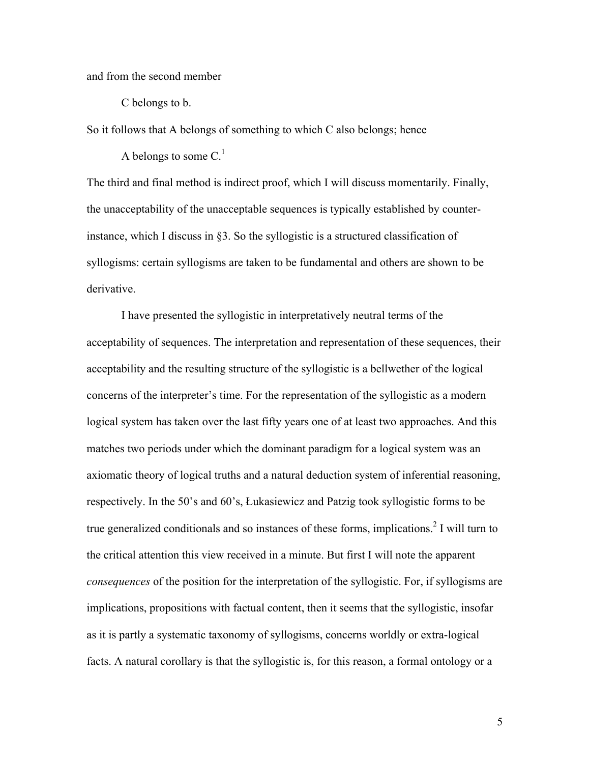and from the second member

C belongs to b.

So it follows that A belongs of something to which C also belongs; hence

A belongs to some  $C<sup>1</sup>$ 

The third and final method is indirect proof, which I will discuss momentarily. Finally, the unacceptability of the unacceptable sequences is typically established by counterinstance, which I discuss in §3. So the syllogistic is a structured classification of syllogisms: certain syllogisms are taken to be fundamental and others are shown to be derivative.

I have presented the syllogistic in interpretatively neutral terms of the acceptability of sequences. The interpretation and representation of these sequences, their acceptability and the resulting structure of the syllogistic is a bellwether of the logical concerns of the interpreter's time. For the representation of the syllogistic as a modern logical system has taken over the last fifty years one of at least two approaches. And this matches two periods under which the dominant paradigm for a logical system was an axiomatic theory of logical truths and a natural deduction system of inferential reasoning, respectively. In the 50's and 60's, Łukasiewicz and Patzig took syllogistic forms to be true generalized conditionals and so instances of these forms, implications.<sup>2</sup> I will turn to the critical attention this view received in a minute. But first I will note the apparent *consequences* of the position for the interpretation of the syllogistic. For, if syllogisms are implications, propositions with factual content, then it seems that the syllogistic, insofar as it is partly a systematic taxonomy of syllogisms, concerns worldly or extra-logical facts. A natural corollary is that the syllogistic is, for this reason, a formal ontology or a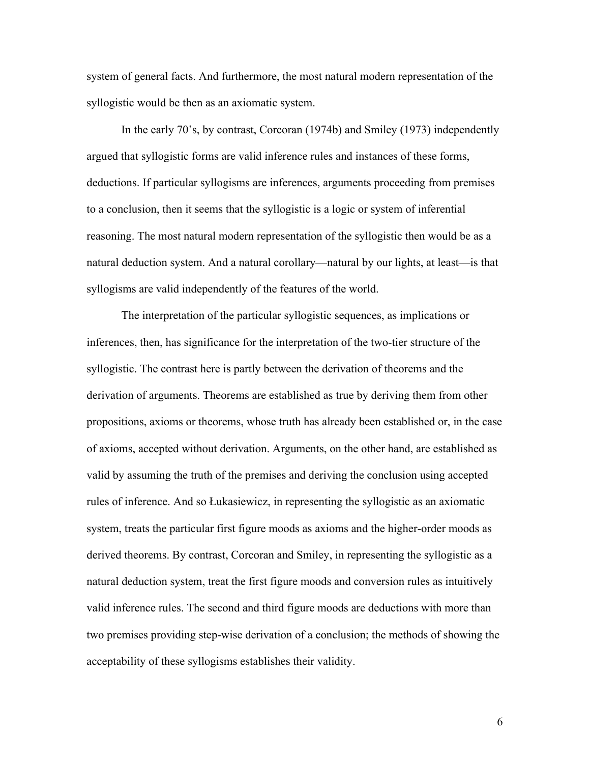system of general facts. And furthermore, the most natural modern representation of the syllogistic would be then as an axiomatic system.

In the early 70's, by contrast, Corcoran (1974b) and Smiley (1973) independently argued that syllogistic forms are valid inference rules and instances of these forms, deductions. If particular syllogisms are inferences, arguments proceeding from premises to a conclusion, then it seems that the syllogistic is a logic or system of inferential reasoning. The most natural modern representation of the syllogistic then would be as a natural deduction system. And a natural corollary—natural by our lights, at least—is that syllogisms are valid independently of the features of the world.

The interpretation of the particular syllogistic sequences, as implications or inferences, then, has significance for the interpretation of the two-tier structure of the syllogistic. The contrast here is partly between the derivation of theorems and the derivation of arguments. Theorems are established as true by deriving them from other propositions, axioms or theorems, whose truth has already been established or, in the case of axioms, accepted without derivation. Arguments, on the other hand, are established as valid by assuming the truth of the premises and deriving the conclusion using accepted rules of inference. And so Łukasiewicz, in representing the syllogistic as an axiomatic system, treats the particular first figure moods as axioms and the higher-order moods as derived theorems. By contrast, Corcoran and Smiley, in representing the syllogistic as a natural deduction system, treat the first figure moods and conversion rules as intuitively valid inference rules. The second and third figure moods are deductions with more than two premises providing step-wise derivation of a conclusion; the methods of showing the acceptability of these syllogisms establishes their validity.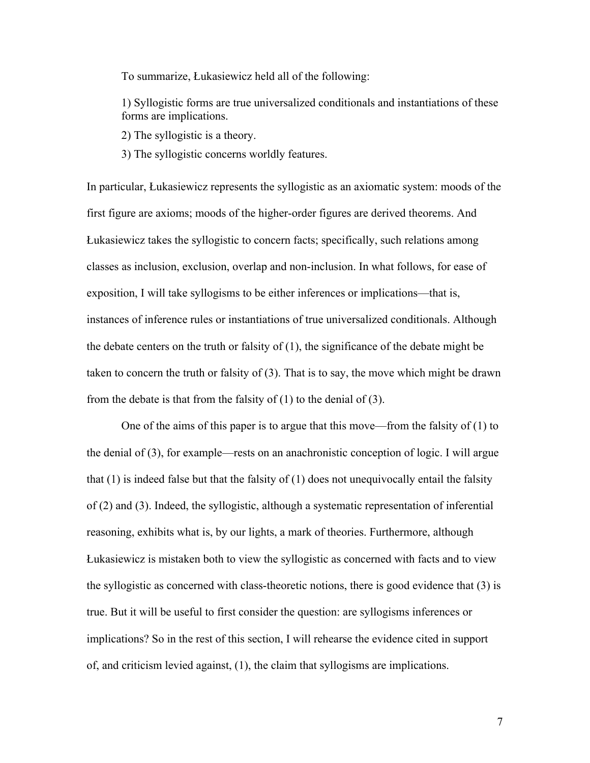To summarize, Łukasiewicz held all of the following:

1) Syllogistic forms are true universalized conditionals and instantiations of these forms are implications.

2) The syllogistic is a theory.

3) The syllogistic concerns worldly features.

In particular, Łukasiewicz represents the syllogistic as an axiomatic system: moods of the first figure are axioms; moods of the higher-order figures are derived theorems. And Łukasiewicz takes the syllogistic to concern facts; specifically, such relations among classes as inclusion, exclusion, overlap and non-inclusion. In what follows, for ease of exposition, I will take syllogisms to be either inferences or implications—that is, instances of inference rules or instantiations of true universalized conditionals. Although the debate centers on the truth or falsity of (1), the significance of the debate might be taken to concern the truth or falsity of (3). That is to say, the move which might be drawn from the debate is that from the falsity of  $(1)$  to the denial of  $(3)$ .

One of the aims of this paper is to argue that this move—from the falsity of  $(1)$  to the denial of (3), for example—rests on an anachronistic conception of logic. I will argue that (1) is indeed false but that the falsity of (1) does not unequivocally entail the falsity of (2) and (3). Indeed, the syllogistic, although a systematic representation of inferential reasoning, exhibits what is, by our lights, a mark of theories. Furthermore, although Łukasiewicz is mistaken both to view the syllogistic as concerned with facts and to view the syllogistic as concerned with class-theoretic notions, there is good evidence that (3) is true. But it will be useful to first consider the question: are syllogisms inferences or implications? So in the rest of this section, I will rehearse the evidence cited in support of, and criticism levied against, (1), the claim that syllogisms are implications.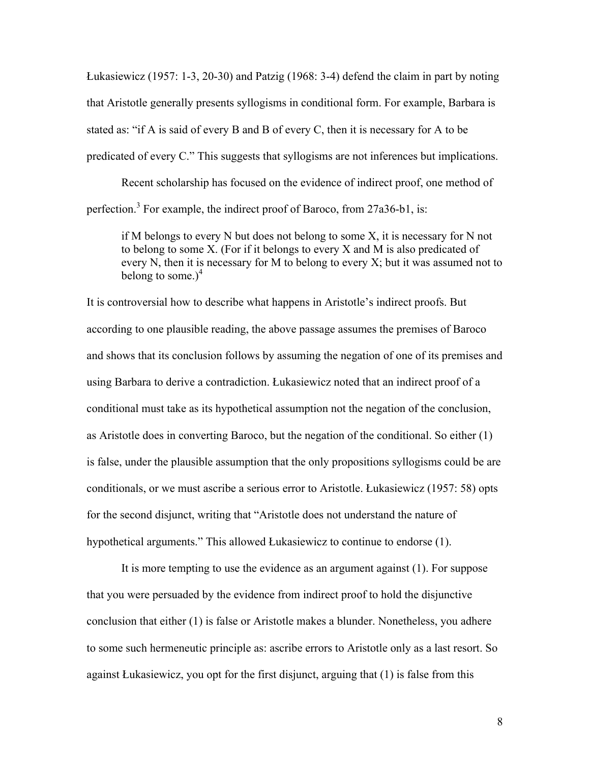Łukasiewicz (1957: 1-3, 20-30) and Patzig (1968: 3-4) defend the claim in part by noting that Aristotle generally presents syllogisms in conditional form. For example, Barbara is stated as: "if A is said of every B and B of every C, then it is necessary for A to be predicated of every C." This suggests that syllogisms are not inferences but implications.

Recent scholarship has focused on the evidence of indirect proof, one method of perfection.<sup>3</sup> For example, the indirect proof of Baroco, from 27a36-b1, is:

if M belongs to every N but does not belong to some  $X$ , it is necessary for N not to belong to some X. (For if it belongs to every X and M is also predicated of every N, then it is necessary for M to belong to every X; but it was assumed not to belong to some.) $<sup>4</sup>$ </sup>

It is controversial how to describe what happens in Aristotle's indirect proofs. But according to one plausible reading, the above passage assumes the premises of Baroco and shows that its conclusion follows by assuming the negation of one of its premises and using Barbara to derive a contradiction. Łukasiewicz noted that an indirect proof of a conditional must take as its hypothetical assumption not the negation of the conclusion, as Aristotle does in converting Baroco, but the negation of the conditional. So either (1) is false, under the plausible assumption that the only propositions syllogisms could be are conditionals, or we must ascribe a serious error to Aristotle. Łukasiewicz (1957: 58) opts for the second disjunct, writing that "Aristotle does not understand the nature of hypothetical arguments." This allowed Łukasiewicz to continue to endorse (1).

It is more tempting to use the evidence as an argument against (1). For suppose that you were persuaded by the evidence from indirect proof to hold the disjunctive conclusion that either (1) is false or Aristotle makes a blunder. Nonetheless, you adhere to some such hermeneutic principle as: ascribe errors to Aristotle only as a last resort. So against Łukasiewicz, you opt for the first disjunct, arguing that (1) is false from this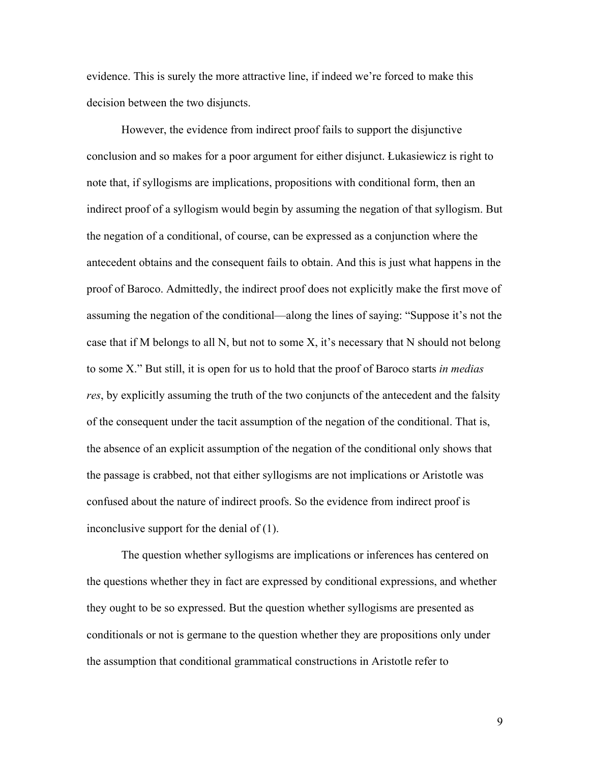evidence. This is surely the more attractive line, if indeed we're forced to make this decision between the two disjuncts.

However, the evidence from indirect proof fails to support the disjunctive conclusion and so makes for a poor argument for either disjunct. Łukasiewicz is right to note that, if syllogisms are implications, propositions with conditional form, then an indirect proof of a syllogism would begin by assuming the negation of that syllogism. But the negation of a conditional, of course, can be expressed as a conjunction where the antecedent obtains and the consequent fails to obtain. And this is just what happens in the proof of Baroco. Admittedly, the indirect proof does not explicitly make the first move of assuming the negation of the conditional—along the lines of saying: "Suppose it's not the case that if M belongs to all N, but not to some X, it's necessary that N should not belong to some X." But still, it is open for us to hold that the proof of Baroco starts *in medias res*, by explicitly assuming the truth of the two conjuncts of the antecedent and the falsity of the consequent under the tacit assumption of the negation of the conditional. That is, the absence of an explicit assumption of the negation of the conditional only shows that the passage is crabbed, not that either syllogisms are not implications or Aristotle was confused about the nature of indirect proofs. So the evidence from indirect proof is inconclusive support for the denial of (1).

The question whether syllogisms are implications or inferences has centered on the questions whether they in fact are expressed by conditional expressions, and whether they ought to be so expressed. But the question whether syllogisms are presented as conditionals or not is germane to the question whether they are propositions only under the assumption that conditional grammatical constructions in Aristotle refer to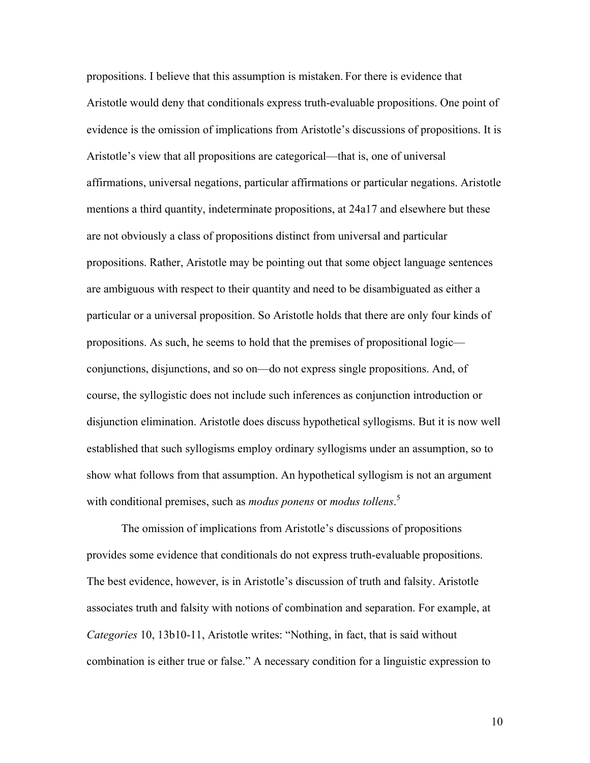propositions. I believe that this assumption is mistaken. For there is evidence that Aristotle would deny that conditionals express truth-evaluable propositions. One point of evidence is the omission of implications from Aristotle's discussions of propositions. It is Aristotle's view that all propositions are categorical—that is, one of universal affirmations, universal negations, particular affirmations or particular negations. Aristotle mentions a third quantity, indeterminate propositions, at 24a17 and elsewhere but these are not obviously a class of propositions distinct from universal and particular propositions. Rather, Aristotle may be pointing out that some object language sentences are ambiguous with respect to their quantity and need to be disambiguated as either a particular or a universal proposition. So Aristotle holds that there are only four kinds of propositions. As such, he seems to hold that the premises of propositional logic conjunctions, disjunctions, and so on—do not express single propositions. And, of course, the syllogistic does not include such inferences as conjunction introduction or disjunction elimination. Aristotle does discuss hypothetical syllogisms. But it is now well established that such syllogisms employ ordinary syllogisms under an assumption, so to show what follows from that assumption. An hypothetical syllogism is not an argument with conditional premises, such as *modus ponens* or *modus tollens*. 5

The omission of implications from Aristotle's discussions of propositions provides some evidence that conditionals do not express truth-evaluable propositions. The best evidence, however, is in Aristotle's discussion of truth and falsity. Aristotle associates truth and falsity with notions of combination and separation. For example, at *Categories* 10, 13b10-11, Aristotle writes: "Nothing, in fact, that is said without combination is either true or false." A necessary condition for a linguistic expression to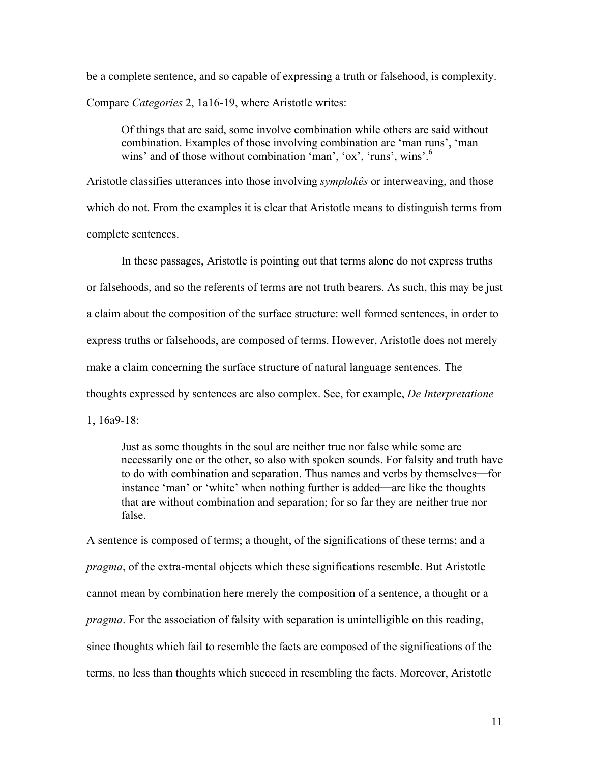be a complete sentence, and so capable of expressing a truth or falsehood, is complexity. Compare *Categories* 2, 1a16-19, where Aristotle writes:

Of things that are said, some involve combination while others are said without combination. Examples of those involving combination are 'man runs', 'man wins' and of those without combination 'man', 'ox', 'runs', wins'.<sup>6</sup>

Aristotle classifies utterances into those involving *symplokês* or interweaving, and those which do not. From the examples it is clear that Aristotle means to distinguish terms from complete sentences.

In these passages, Aristotle is pointing out that terms alone do not express truths or falsehoods, and so the referents of terms are not truth bearers. As such, this may be just a claim about the composition of the surface structure: well formed sentences, in order to express truths or falsehoods, are composed of terms. However, Aristotle does not merely make a claim concerning the surface structure of natural language sentences. The thoughts expressed by sentences are also complex. See, for example, *De Interpretatione* 1, 16a9-18:

Just as some thoughts in the soul are neither true nor false while some are necessarily one or the other, so also with spoken sounds. For falsity and truth have to do with combination and separation. Thus names and verbs by themselves-for instance 'man' or 'white' when nothing further is added—are like the thoughts that are without combination and separation; for so far they are neither true nor false.

A sentence is composed of terms; a thought, of the significations of these terms; and a *pragma*, of the extra-mental objects which these significations resemble. But Aristotle cannot mean by combination here merely the composition of a sentence, a thought or a *pragma*. For the association of falsity with separation is unintelligible on this reading, since thoughts which fail to resemble the facts are composed of the significations of the terms, no less than thoughts which succeed in resembling the facts. Moreover, Aristotle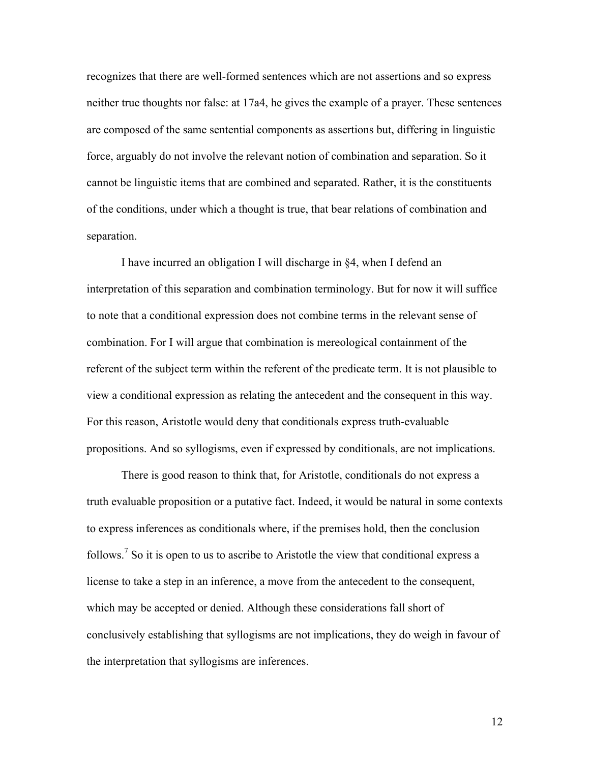recognizes that there are well-formed sentences which are not assertions and so express neither true thoughts nor false: at 17a4, he gives the example of a prayer. These sentences are composed of the same sentential components as assertions but, differing in linguistic force, arguably do not involve the relevant notion of combination and separation. So it cannot be linguistic items that are combined and separated. Rather, it is the constituents of the conditions, under which a thought is true, that bear relations of combination and separation.

I have incurred an obligation I will discharge in §4, when I defend an interpretation of this separation and combination terminology. But for now it will suffice to note that a conditional expression does not combine terms in the relevant sense of combination. For I will argue that combination is mereological containment of the referent of the subject term within the referent of the predicate term. It is not plausible to view a conditional expression as relating the antecedent and the consequent in this way. For this reason, Aristotle would deny that conditionals express truth-evaluable propositions. And so syllogisms, even if expressed by conditionals, are not implications.

There is good reason to think that, for Aristotle, conditionals do not express a truth evaluable proposition or a putative fact. Indeed, it would be natural in some contexts to express inferences as conditionals where, if the premises hold, then the conclusion follows.<sup>7</sup> So it is open to us to ascribe to Aristotle the view that conditional express a license to take a step in an inference, a move from the antecedent to the consequent, which may be accepted or denied. Although these considerations fall short of conclusively establishing that syllogisms are not implications, they do weigh in favour of the interpretation that syllogisms are inferences.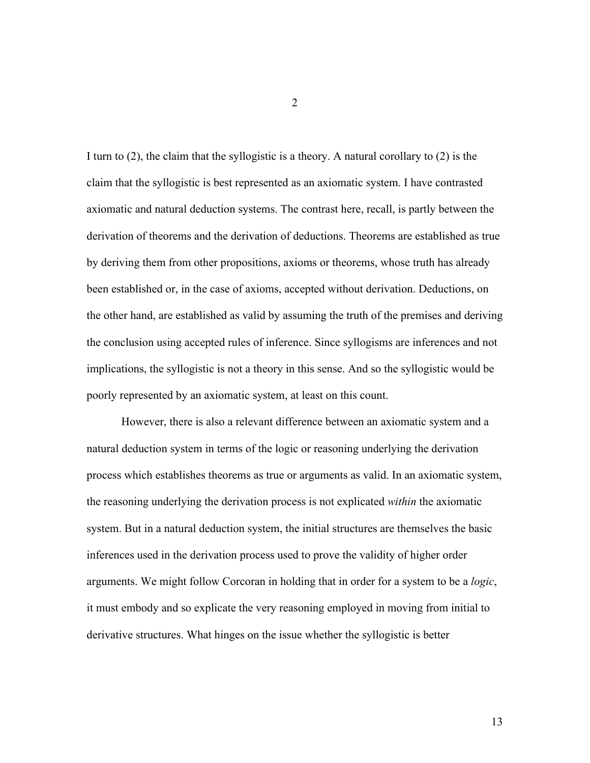I turn to (2), the claim that the syllogistic is a theory. A natural corollary to (2) is the claim that the syllogistic is best represented as an axiomatic system. I have contrasted axiomatic and natural deduction systems. The contrast here, recall, is partly between the derivation of theorems and the derivation of deductions. Theorems are established as true by deriving them from other propositions, axioms or theorems, whose truth has already been established or, in the case of axioms, accepted without derivation. Deductions, on the other hand, are established as valid by assuming the truth of the premises and deriving the conclusion using accepted rules of inference. Since syllogisms are inferences and not implications, the syllogistic is not a theory in this sense. And so the syllogistic would be poorly represented by an axiomatic system, at least on this count.

However, there is also a relevant difference between an axiomatic system and a natural deduction system in terms of the logic or reasoning underlying the derivation process which establishes theorems as true or arguments as valid. In an axiomatic system, the reasoning underlying the derivation process is not explicated *within* the axiomatic system. But in a natural deduction system, the initial structures are themselves the basic inferences used in the derivation process used to prove the validity of higher order arguments. We might follow Corcoran in holding that in order for a system to be a *logic*, it must embody and so explicate the very reasoning employed in moving from initial to derivative structures. What hinges on the issue whether the syllogistic is better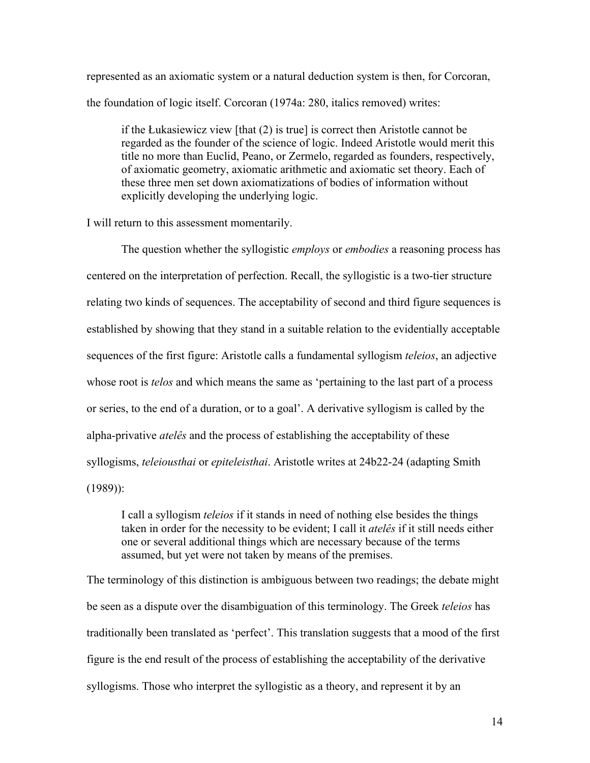represented as an axiomatic system or a natural deduction system is then, for Corcoran, the foundation of logic itself. Corcoran (1974a: 280, italics removed) writes:

if the Łukasiewicz view [that (2) is true] is correct then Aristotle cannot be regarded as the founder of the science of logic. Indeed Aristotle would merit this title no more than Euclid, Peano, or Zermelo, regarded as founders, respectively, of axiomatic geometry, axiomatic arithmetic and axiomatic set theory. Each of these three men set down axiomatizations of bodies of information without explicitly developing the underlying logic.

I will return to this assessment momentarily.

The question whether the syllogistic *employs* or *embodies* a reasoning process has centered on the interpretation of perfection. Recall, the syllogistic is a two-tier structure relating two kinds of sequences. The acceptability of second and third figure sequences is established by showing that they stand in a suitable relation to the evidentially acceptable sequences of the first figure: Aristotle calls a fundamental syllogism *teleios*, an adjective whose root is *telos* and which means the same as 'pertaining to the last part of a process or series, to the end of a duration, or to a goal'. A derivative syllogism is called by the alpha-privative *atelês* and the process of establishing the acceptability of these syllogisms, *teleiousthai* or *epiteleisthai*. Aristotle writes at 24b22-24 (adapting Smith (1989)):

I call a syllogism *teleios* if it stands in need of nothing else besides the things taken in order for the necessity to be evident; I call it *atelês* if it still needs either one or several additional things which are necessary because of the terms assumed, but yet were not taken by means of the premises.

The terminology of this distinction is ambiguous between two readings; the debate might be seen as a dispute over the disambiguation of this terminology. The Greek *teleios* has traditionally been translated as 'perfect'. This translation suggests that a mood of the first figure is the end result of the process of establishing the acceptability of the derivative syllogisms. Those who interpret the syllogistic as a theory, and represent it by an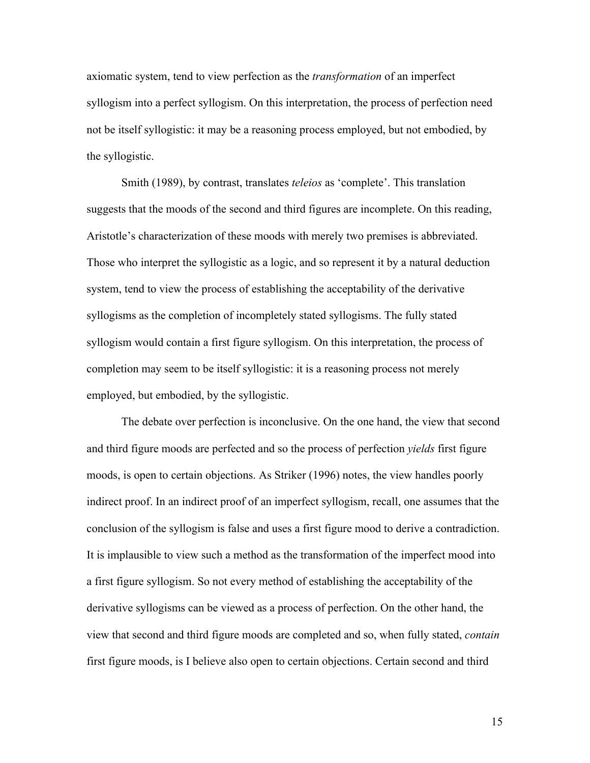axiomatic system, tend to view perfection as the *transformation* of an imperfect syllogism into a perfect syllogism. On this interpretation, the process of perfection need not be itself syllogistic: it may be a reasoning process employed, but not embodied, by the syllogistic.

Smith (1989), by contrast, translates *teleios* as 'complete'. This translation suggests that the moods of the second and third figures are incomplete. On this reading, Aristotle's characterization of these moods with merely two premises is abbreviated. Those who interpret the syllogistic as a logic, and so represent it by a natural deduction system, tend to view the process of establishing the acceptability of the derivative syllogisms as the completion of incompletely stated syllogisms. The fully stated syllogism would contain a first figure syllogism. On this interpretation, the process of completion may seem to be itself syllogistic: it is a reasoning process not merely employed, but embodied, by the syllogistic.

The debate over perfection is inconclusive. On the one hand, the view that second and third figure moods are perfected and so the process of perfection *yields* first figure moods, is open to certain objections. As Striker (1996) notes, the view handles poorly indirect proof. In an indirect proof of an imperfect syllogism, recall, one assumes that the conclusion of the syllogism is false and uses a first figure mood to derive a contradiction. It is implausible to view such a method as the transformation of the imperfect mood into a first figure syllogism. So not every method of establishing the acceptability of the derivative syllogisms can be viewed as a process of perfection. On the other hand, the view that second and third figure moods are completed and so, when fully stated, *contain* first figure moods, is I believe also open to certain objections. Certain second and third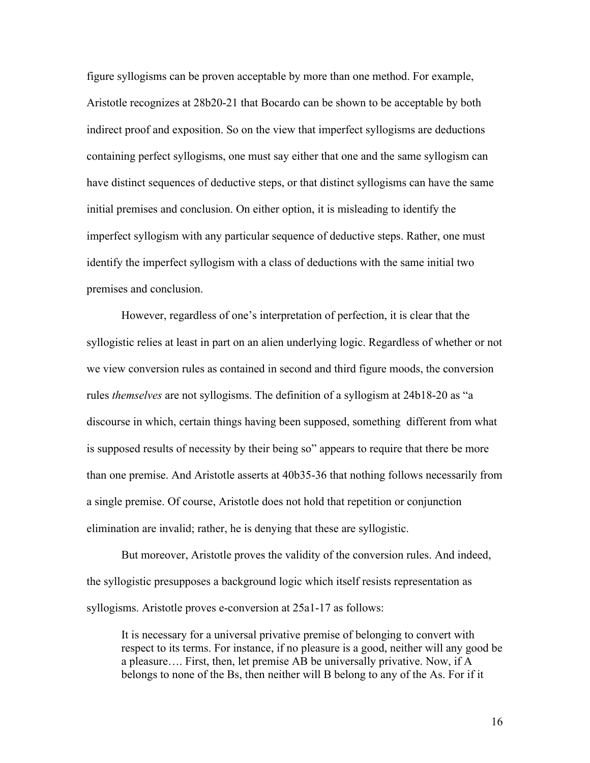figure syllogisms can be proven acceptable by more than one method. For example, Aristotle recognizes at 28b20-21 that Bocardo can be shown to be acceptable by both indirect proof and exposition. So on the view that imperfect syllogisms are deductions containing perfect syllogisms, one must say either that one and the same syllogism can have distinct sequences of deductive steps, or that distinct syllogisms can have the same initial premises and conclusion. On either option, it is misleading to identify the imperfect syllogism with any particular sequence of deductive steps. Rather, one must identify the imperfect syllogism with a class of deductions with the same initial two premises and conclusion.

However, regardless of one's interpretation of perfection, it is clear that the syllogistic relies at least in part on an alien underlying logic. Regardless of whether or not we view conversion rules as contained in second and third figure moods, the conversion rules *themselves* are not syllogisms. The definition of a syllogism at 24b18-20 as "a discourse in which, certain things having been supposed, something different from what is supposed results of necessity by their being so" appears to require that there be more than one premise. And Aristotle asserts at 40b35-36 that nothing follows necessarily from a single premise. Of course, Aristotle does not hold that repetition or conjunction elimination are invalid; rather, he is denying that these are syllogistic.

But moreover, Aristotle proves the validity of the conversion rules. And indeed, the syllogistic presupposes a background logic which itself resists representation as syllogisms. Aristotle proves e-conversion at 25a1-17 as follows:

It is necessary for a universal privative premise of belonging to convert with respect to its terms. For instance, if no pleasure is a good, neither will any good be a pleasure…. First, then, let premise AB be universally privative. Now, if A belongs to none of the Bs, then neither will B belong to any of the As. For if it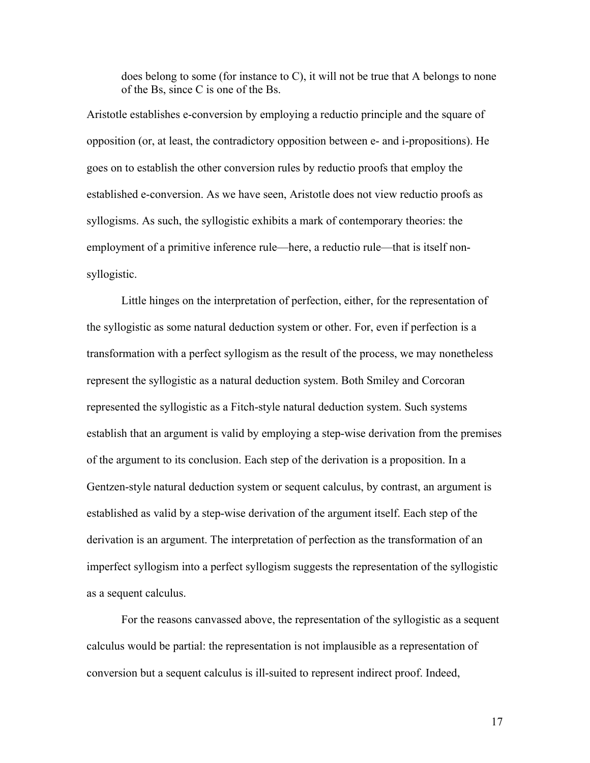does belong to some (for instance to  $C$ ), it will not be true that A belongs to none of the Bs, since C is one of the Bs.

Aristotle establishes e-conversion by employing a reductio principle and the square of opposition (or, at least, the contradictory opposition between e- and i-propositions). He goes on to establish the other conversion rules by reductio proofs that employ the established e-conversion. As we have seen, Aristotle does not view reductio proofs as syllogisms. As such, the syllogistic exhibits a mark of contemporary theories: the employment of a primitive inference rule—here, a reductio rule—that is itself nonsyllogistic.

Little hinges on the interpretation of perfection, either, for the representation of the syllogistic as some natural deduction system or other. For, even if perfection is a transformation with a perfect syllogism as the result of the process, we may nonetheless represent the syllogistic as a natural deduction system. Both Smiley and Corcoran represented the syllogistic as a Fitch-style natural deduction system. Such systems establish that an argument is valid by employing a step-wise derivation from the premises of the argument to its conclusion. Each step of the derivation is a proposition. In a Gentzen-style natural deduction system or sequent calculus, by contrast, an argument is established as valid by a step-wise derivation of the argument itself. Each step of the derivation is an argument. The interpretation of perfection as the transformation of an imperfect syllogism into a perfect syllogism suggests the representation of the syllogistic as a sequent calculus.

For the reasons canvassed above, the representation of the syllogistic as a sequent calculus would be partial: the representation is not implausible as a representation of conversion but a sequent calculus is ill-suited to represent indirect proof. Indeed,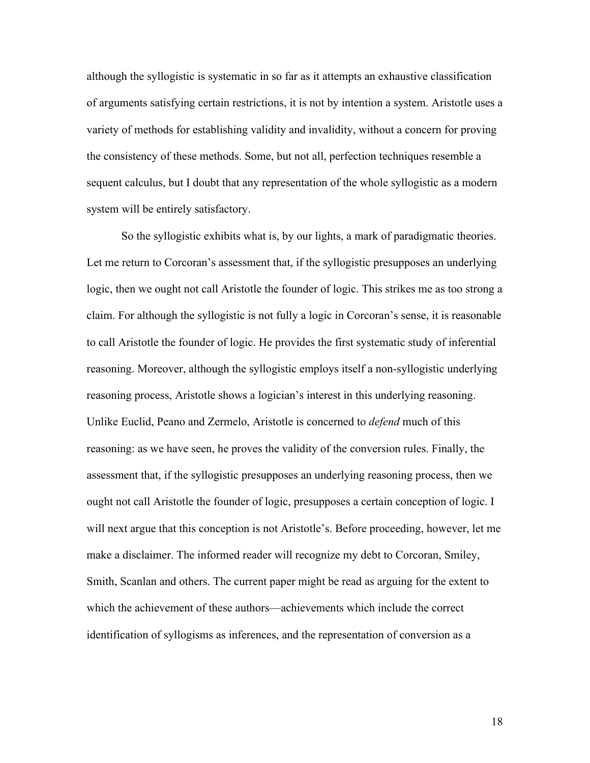although the syllogistic is systematic in so far as it attempts an exhaustive classification of arguments satisfying certain restrictions, it is not by intention a system. Aristotle uses a variety of methods for establishing validity and invalidity, without a concern for proving the consistency of these methods. Some, but not all, perfection techniques resemble a sequent calculus, but I doubt that any representation of the whole syllogistic as a modern system will be entirely satisfactory.

So the syllogistic exhibits what is, by our lights, a mark of paradigmatic theories. Let me return to Corcoran's assessment that, if the syllogistic presupposes an underlying logic, then we ought not call Aristotle the founder of logic. This strikes me as too strong a claim. For although the syllogistic is not fully a logic in Corcoran's sense, it is reasonable to call Aristotle the founder of logic. He provides the first systematic study of inferential reasoning. Moreover, although the syllogistic employs itself a non-syllogistic underlying reasoning process, Aristotle shows a logician's interest in this underlying reasoning. Unlike Euclid, Peano and Zermelo, Aristotle is concerned to *defend* much of this reasoning: as we have seen, he proves the validity of the conversion rules. Finally, the assessment that, if the syllogistic presupposes an underlying reasoning process, then we ought not call Aristotle the founder of logic, presupposes a certain conception of logic. I will next argue that this conception is not Aristotle's. Before proceeding, however, let me make a disclaimer. The informed reader will recognize my debt to Corcoran, Smiley, Smith, Scanlan and others. The current paper might be read as arguing for the extent to which the achievement of these authors—achievements which include the correct identification of syllogisms as inferences, and the representation of conversion as a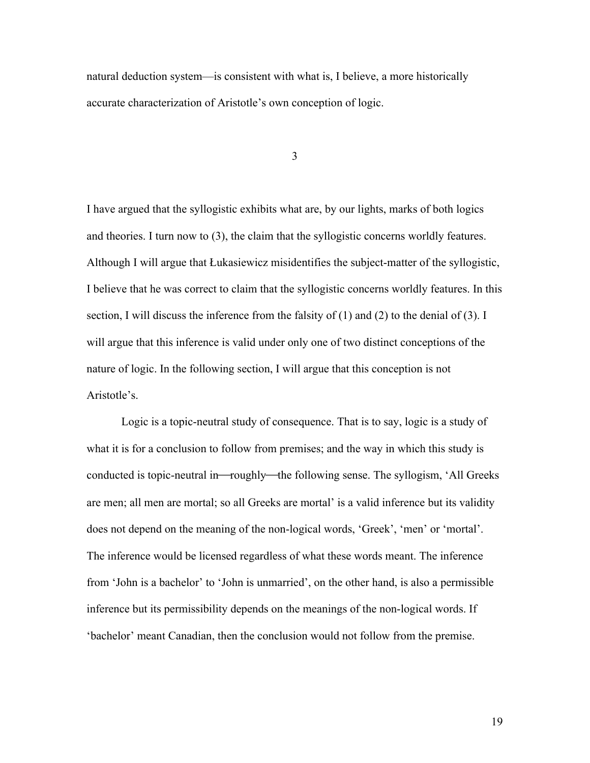natural deduction system—is consistent with what is, I believe, a more historically accurate characterization of Aristotle's own conception of logic.

3

I have argued that the syllogistic exhibits what are, by our lights, marks of both logics and theories. I turn now to (3), the claim that the syllogistic concerns worldly features. Although I will argue that Łukasiewicz misidentifies the subject-matter of the syllogistic, I believe that he was correct to claim that the syllogistic concerns worldly features. In this section, I will discuss the inference from the falsity of (1) and (2) to the denial of (3). I will argue that this inference is valid under only one of two distinct conceptions of the nature of logic. In the following section, I will argue that this conception is not Aristotle's.

Logic is a topic-neutral study of consequence. That is to say, logic is a study of what it is for a conclusion to follow from premises; and the way in which this study is conducted is topic-neutral in-roughly-the following sense. The syllogism, 'All Greeks are men; all men are mortal; so all Greeks are mortal' is a valid inference but its validity does not depend on the meaning of the non-logical words, 'Greek', 'men' or 'mortal'. The inference would be licensed regardless of what these words meant. The inference from 'John is a bachelor' to 'John is unmarried', on the other hand, is also a permissible inference but its permissibility depends on the meanings of the non-logical words. If 'bachelor' meant Canadian, then the conclusion would not follow from the premise.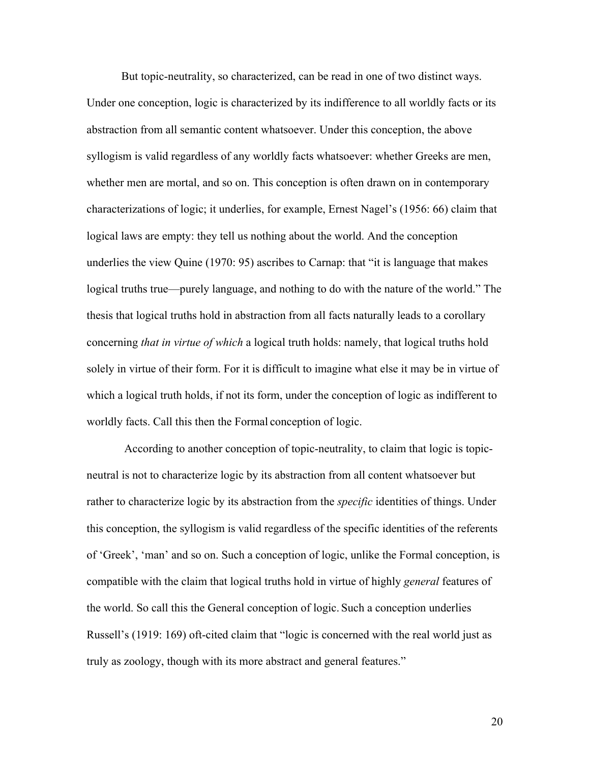But topic-neutrality, so characterized, can be read in one of two distinct ways. Under one conception, logic is characterized by its indifference to all worldly facts or its abstraction from all semantic content whatsoever. Under this conception, the above syllogism is valid regardless of any worldly facts whatsoever: whether Greeks are men, whether men are mortal, and so on. This conception is often drawn on in contemporary characterizations of logic; it underlies, for example, Ernest Nagel's (1956: 66) claim that logical laws are empty: they tell us nothing about the world. And the conception underlies the view Quine (1970: 95) ascribes to Carnap: that "it is language that makes logical truths true—purely language, and nothing to do with the nature of the world." The thesis that logical truths hold in abstraction from all facts naturally leads to a corollary concerning *that in virtue of which* a logical truth holds: namely, that logical truths hold solely in virtue of their form. For it is difficult to imagine what else it may be in virtue of which a logical truth holds, if not its form, under the conception of logic as indifferent to worldly facts. Call this then the Formal conception of logic.

 According to another conception of topic-neutrality, to claim that logic is topicneutral is not to characterize logic by its abstraction from all content whatsoever but rather to characterize logic by its abstraction from the *specific* identities of things. Under this conception, the syllogism is valid regardless of the specific identities of the referents of 'Greek', 'man' and so on. Such a conception of logic, unlike the Formal conception, is compatible with the claim that logical truths hold in virtue of highly *general* features of the world. So call this the General conception of logic. Such a conception underlies Russell's (1919: 169) oft-cited claim that "logic is concerned with the real world just as truly as zoology, though with its more abstract and general features."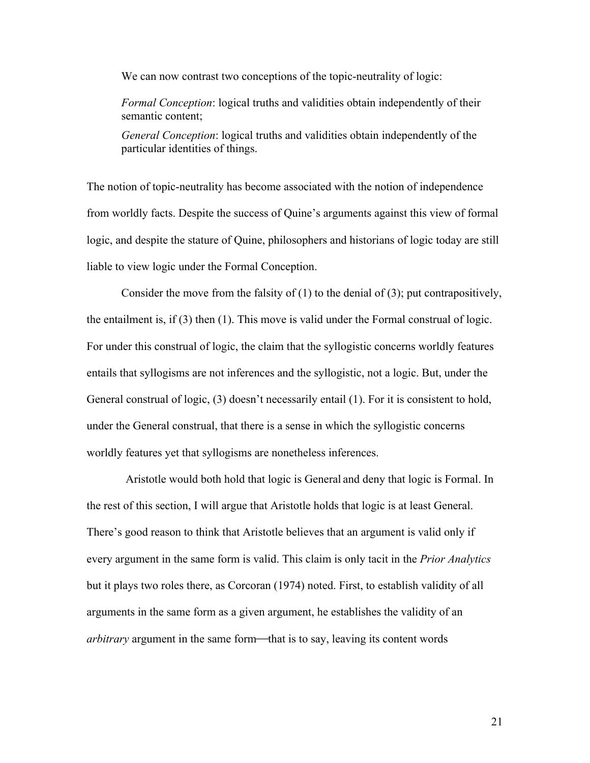We can now contrast two conceptions of the topic-neutrality of logic:

*Formal Conception*: logical truths and validities obtain independently of their semantic content;

*General Conception*: logical truths and validities obtain independently of the particular identities of things.

The notion of topic-neutrality has become associated with the notion of independence from worldly facts. Despite the success of Quine's arguments against this view of formal logic, and despite the stature of Quine, philosophers and historians of logic today are still liable to view logic under the Formal Conception.

Consider the move from the falsity of  $(1)$  to the denial of  $(3)$ ; put contrapositively, the entailment is, if (3) then (1). This move is valid under the Formal construal of logic. For under this construal of logic, the claim that the syllogistic concerns worldly features entails that syllogisms are not inferences and the syllogistic, not a logic. But, under the General construal of logic, (3) doesn't necessarily entail (1). For it is consistent to hold, under the General construal, that there is a sense in which the syllogistic concerns worldly features yet that syllogisms are nonetheless inferences.

Aristotle would both hold that logic is General and deny that logic is Formal. In the rest of this section, I will argue that Aristotle holds that logic is at least General. There's good reason to think that Aristotle believes that an argument is valid only if every argument in the same form is valid. This claim is only tacit in the *Prior Analytics* but it plays two roles there, as Corcoran (1974) noted. First, to establish validity of all arguments in the same form as a given argument, he establishes the validity of an *arbitrary* argument in the same form—that is to say, leaving its content words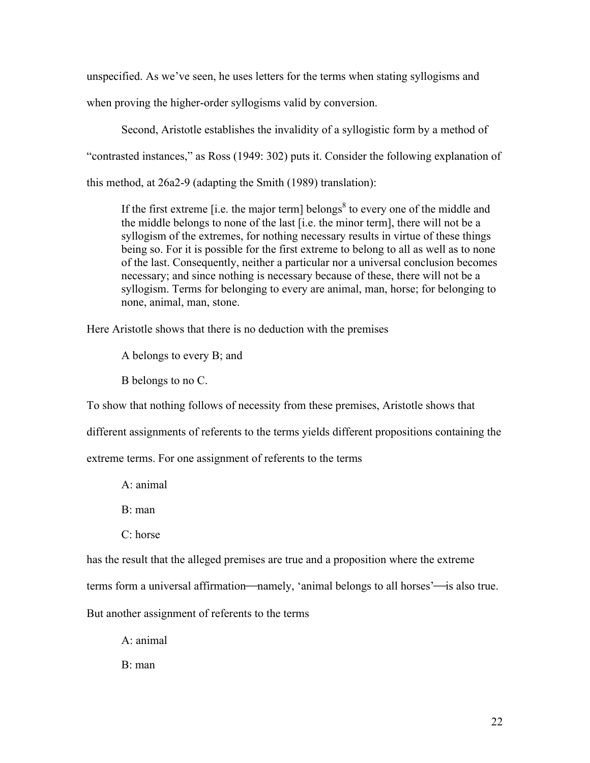unspecified. As we've seen, he uses letters for the terms when stating syllogisms and

when proving the higher-order syllogisms valid by conversion.

Second, Aristotle establishes the invalidity of a syllogistic form by a method of "contrasted instances," as Ross (1949: 302) puts it. Consider the following explanation of this method, at 26a2-9 (adapting the Smith (1989) translation):

If the first extreme [i.e. the major term] belongs<sup>8</sup> to every one of the middle and the middle belongs to none of the last [i.e. the minor term], there will not be a syllogism of the extremes, for nothing necessary results in virtue of these things being so. For it is possible for the first extreme to belong to all as well as to none of the last. Consequently, neither a particular nor a universal conclusion becomes necessary; and since nothing is necessary because of these, there will not be a syllogism. Terms for belonging to every are animal, man, horse; for belonging to none, animal, man, stone.

Here Aristotle shows that there is no deduction with the premises

A belongs to every B; and

B belongs to no C.

To show that nothing follows of necessity from these premises, Aristotle shows that

different assignments of referents to the terms yields different propositions containing the

extreme terms. For one assignment of referents to the terms

A: animal

B: man

C: horse

has the result that the alleged premises are true and a proposition where the extreme

terms form a universal affirmation—namely, 'animal belongs to all horses'—is also true.

But another assignment of referents to the terms

A: animal

B: man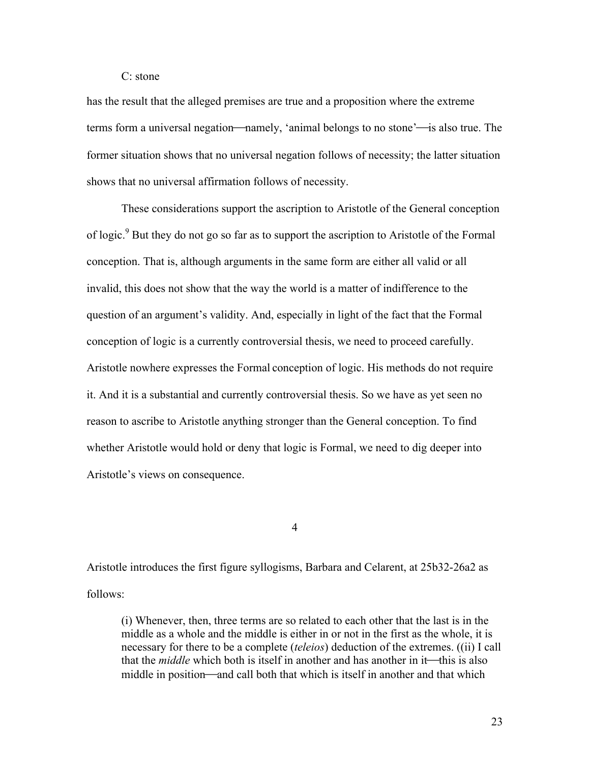## C: stone

has the result that the alleged premises are true and a proposition where the extreme terms form a universal negation—namely, 'animal belongs to no stone'—is also true. The former situation shows that no universal negation follows of necessity; the latter situation shows that no universal affirmation follows of necessity.

These considerations support the ascription to Aristotle of the General conception of logic.<sup>9</sup> But they do not go so far as to support the ascription to Aristotle of the Formal conception. That is, although arguments in the same form are either all valid or all invalid, this does not show that the way the world is a matter of indifference to the question of an argument's validity. And, especially in light of the fact that the Formal conception of logic is a currently controversial thesis, we need to proceed carefully. Aristotle nowhere expresses the Formal conception of logic. His methods do not require it. And it is a substantial and currently controversial thesis. So we have as yet seen no reason to ascribe to Aristotle anything stronger than the General conception. To find whether Aristotle would hold or deny that logic is Formal, we need to dig deeper into Aristotle's views on consequence.

4

Aristotle introduces the first figure syllogisms, Barbara and Celarent, at 25b32-26a2 as follows:

(i) Whenever, then, three terms are so related to each other that the last is in the middle as a whole and the middle is either in or not in the first as the whole, it is necessary for there to be a complete (*teleios*) deduction of the extremes. ((ii) I call that the *middle* which both is itself in another and has another in it—this is also middle in position—and call both that which is itself in another and that which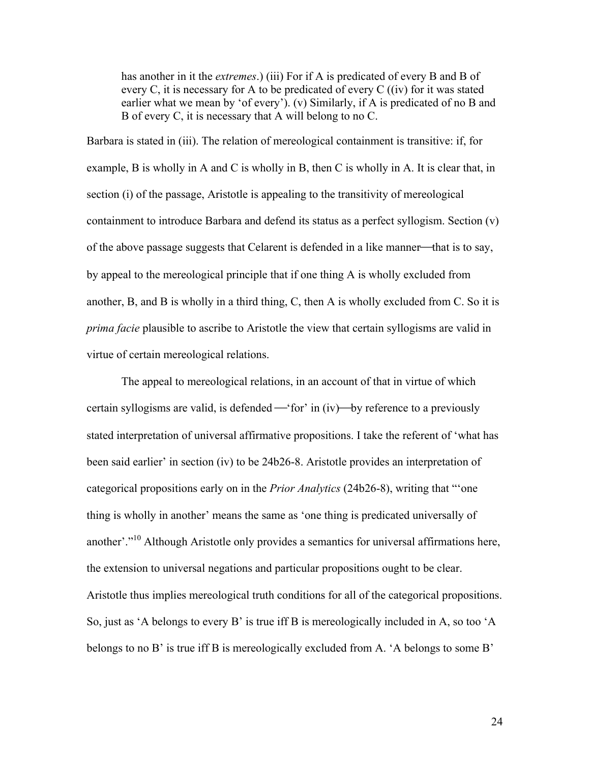has another in it the *extremes*.) (iii) For if A is predicated of every B and B of every C, it is necessary for A to be predicated of every C ((iv) for it was stated earlier what we mean by 'of every'). (v) Similarly, if A is predicated of no B and B of every C, it is necessary that A will belong to no C.

Barbara is stated in (iii). The relation of mereological containment is transitive: if, for example, B is wholly in A and C is wholly in B, then C is wholly in A. It is clear that, in section (i) of the passage, Aristotle is appealing to the transitivity of mereological containment to introduce Barbara and defend its status as a perfect syllogism. Section (v) of the above passage suggests that Celarent is defended in a like manner—that is to say, by appeal to the mereological principle that if one thing A is wholly excluded from another, B, and B is wholly in a third thing, C, then A is wholly excluded from C. So it is *prima facie* plausible to ascribe to Aristotle the view that certain syllogisms are valid in virtue of certain mereological relations.

The appeal to mereological relations, in an account of that in virtue of which certain syllogisms are valid, is defended  $\equiv$  for' in (iv) $\equiv$  by reference to a previously stated interpretation of universal affirmative propositions. I take the referent of 'what has been said earlier' in section (iv) to be 24b26-8. Aristotle provides an interpretation of categorical propositions early on in the *Prior Analytics* (24b26-8), writing that "'one thing is wholly in another' means the same as 'one thing is predicated universally of another'."<sup>10</sup> Although Aristotle only provides a semantics for universal affirmations here, the extension to universal negations and particular propositions ought to be clear. Aristotle thus implies mereological truth conditions for all of the categorical propositions. So, just as 'A belongs to every B' is true iff B is mereologically included in A, so too 'A belongs to no B' is true iff B is mereologically excluded from A. 'A belongs to some B'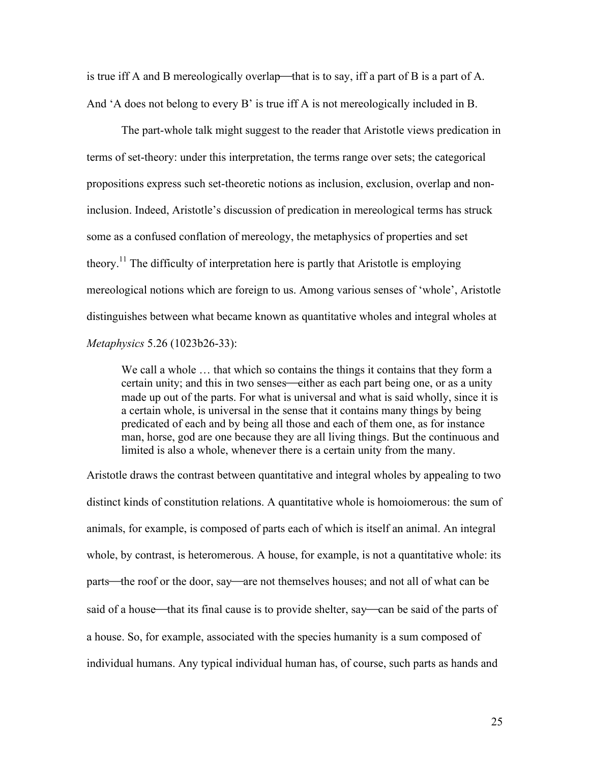is true iff A and B mereologically overlap—that is to say, iff a part of B is a part of A. And 'A does not belong to every B' is true iff A is not mereologically included in B.

The part-whole talk might suggest to the reader that Aristotle views predication in terms of set-theory: under this interpretation, the terms range over sets; the categorical propositions express such set-theoretic notions as inclusion, exclusion, overlap and noninclusion. Indeed, Aristotle's discussion of predication in mereological terms has struck some as a confused conflation of mereology, the metaphysics of properties and set theory.<sup>11</sup> The difficulty of interpretation here is partly that Aristotle is employing mereological notions which are foreign to us. Among various senses of 'whole', Aristotle distinguishes between what became known as quantitative wholes and integral wholes at *Metaphysics* 5.26 (1023b26-33):

We call a whole … that which so contains the things it contains that they form a certain unity; and this in two senses—either as each part being one, or as a unity made up out of the parts. For what is universal and what is said wholly, since it is a certain whole, is universal in the sense that it contains many things by being predicated of each and by being all those and each of them one, as for instance man, horse, god are one because they are all living things. But the continuous and limited is also a whole, whenever there is a certain unity from the many.

Aristotle draws the contrast between quantitative and integral wholes by appealing to two distinct kinds of constitution relations. A quantitative whole is homoiomerous: the sum of animals, for example, is composed of parts each of which is itself an animal. An integral whole, by contrast, is heteromerous. A house, for example, is not a quantitative whole: its parts—the roof or the door, say—are not themselves houses; and not all of what can be said of a house—that its final cause is to provide shelter, say—can be said of the parts of a house. So, for example, associated with the species humanity is a sum composed of individual humans. Any typical individual human has, of course, such parts as hands and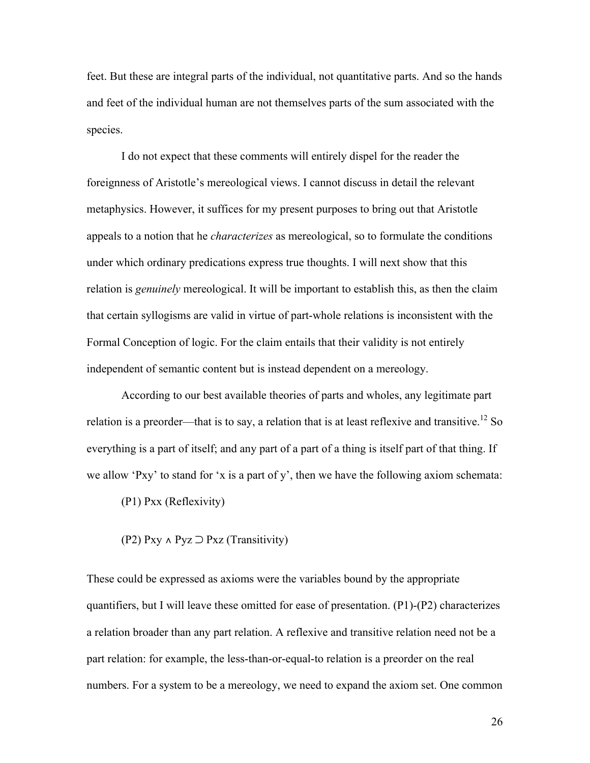feet. But these are integral parts of the individual, not quantitative parts. And so the hands and feet of the individual human are not themselves parts of the sum associated with the species.

I do not expect that these comments will entirely dispel for the reader the foreignness of Aristotle's mereological views. I cannot discuss in detail the relevant metaphysics. However, it suffices for my present purposes to bring out that Aristotle appeals to a notion that he *characterizes* as mereological, so to formulate the conditions under which ordinary predications express true thoughts. I will next show that this relation is *genuinely* mereological. It will be important to establish this, as then the claim that certain syllogisms are valid in virtue of part-whole relations is inconsistent with the Formal Conception of logic. For the claim entails that their validity is not entirely independent of semantic content but is instead dependent on a mereology.

According to our best available theories of parts and wholes, any legitimate part relation is a preorder—that is to say, a relation that is at least reflexive and transitive.<sup>12</sup> So everything is a part of itself; and any part of a part of a thing is itself part of that thing. If we allow 'Pxy' to stand for 'x is a part of y', then we have the following axiom schemata:

(P1) Pxx (Reflexivity)

(P2) Pxy ∧ Pyz ⊃ Pxz (Transitivity)

These could be expressed as axioms were the variables bound by the appropriate quantifiers, but I will leave these omitted for ease of presentation. (P1)-(P2) characterizes a relation broader than any part relation. A reflexive and transitive relation need not be a part relation: for example, the less-than-or-equal-to relation is a preorder on the real numbers. For a system to be a mereology, we need to expand the axiom set. One common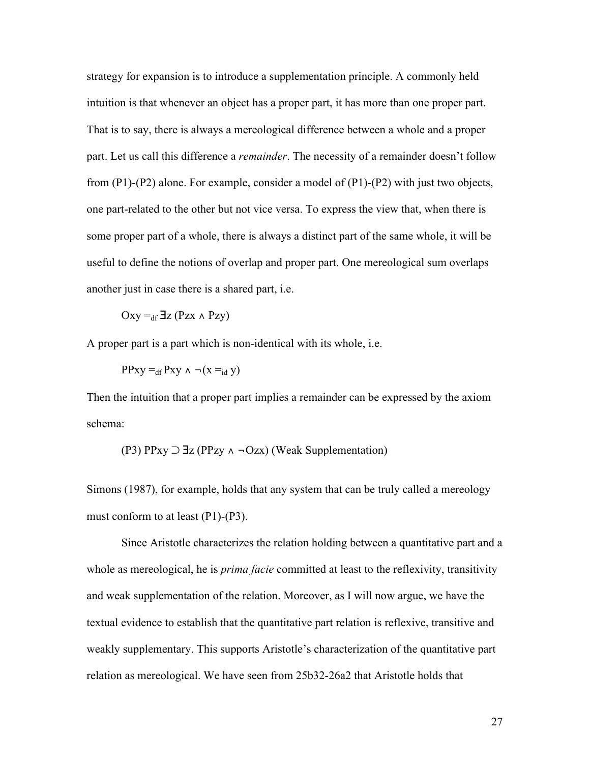strategy for expansion is to introduce a supplementation principle. A commonly held intuition is that whenever an object has a proper part, it has more than one proper part. That is to say, there is always a mereological difference between a whole and a proper part. Let us call this difference a *remainder*. The necessity of a remainder doesn't follow from (P1)-(P2) alone. For example, consider a model of (P1)-(P2) with just two objects, one part-related to the other but not vice versa. To express the view that, when there is some proper part of a whole, there is always a distinct part of the same whole, it will be useful to define the notions of overlap and proper part. One mereological sum overlaps another just in case there is a shared part, i.e.

 $Oxy =_{df} \exists z (Pzx \land Pzy)$ 

A proper part is a part which is non-identical with its whole, i.e.

 $PPxy =_{df} Pxy \wedge \neg (x =_{id} y)$ 

Then the intuition that a proper part implies a remainder can be expressed by the axiom schema:

(P3) PPxy ⊃ ∃z (PPzy ∧ ¬Ozx) (Weak Supplementation)

Simons (1987), for example, holds that any system that can be truly called a mereology must conform to at least (P1)-(P3).

Since Aristotle characterizes the relation holding between a quantitative part and a whole as mereological, he is *prima facie* committed at least to the reflexivity, transitivity and weak supplementation of the relation. Moreover, as I will now argue, we have the textual evidence to establish that the quantitative part relation is reflexive, transitive and weakly supplementary. This supports Aristotle's characterization of the quantitative part relation as mereological. We have seen from 25b32-26a2 that Aristotle holds that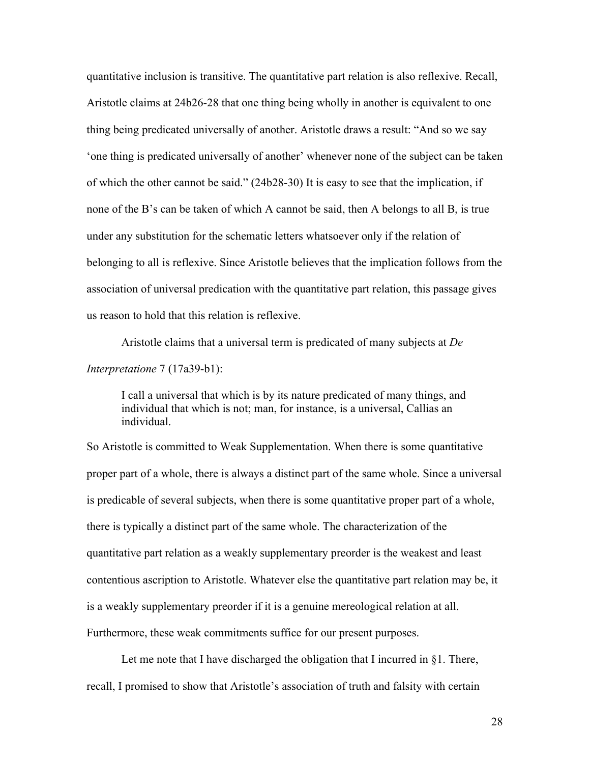quantitative inclusion is transitive. The quantitative part relation is also reflexive. Recall, Aristotle claims at 24b26-28 that one thing being wholly in another is equivalent to one thing being predicated universally of another. Aristotle draws a result: "And so we say 'one thing is predicated universally of another' whenever none of the subject can be taken of which the other cannot be said." (24b28-30) It is easy to see that the implication, if none of the B's can be taken of which A cannot be said, then A belongs to all B, is true under any substitution for the schematic letters whatsoever only if the relation of belonging to all is reflexive. Since Aristotle believes that the implication follows from the association of universal predication with the quantitative part relation, this passage gives us reason to hold that this relation is reflexive.

Aristotle claims that a universal term is predicated of many subjects at *De Interpretatione* 7 (17a39-b1):

I call a universal that which is by its nature predicated of many things, and individual that which is not; man, for instance, is a universal, Callias an individual.

So Aristotle is committed to Weak Supplementation. When there is some quantitative proper part of a whole, there is always a distinct part of the same whole. Since a universal is predicable of several subjects, when there is some quantitative proper part of a whole, there is typically a distinct part of the same whole. The characterization of the quantitative part relation as a weakly supplementary preorder is the weakest and least contentious ascription to Aristotle. Whatever else the quantitative part relation may be, it is a weakly supplementary preorder if it is a genuine mereological relation at all. Furthermore, these weak commitments suffice for our present purposes.

Let me note that I have discharged the obligation that I incurred in §1. There, recall, I promised to show that Aristotle's association of truth and falsity with certain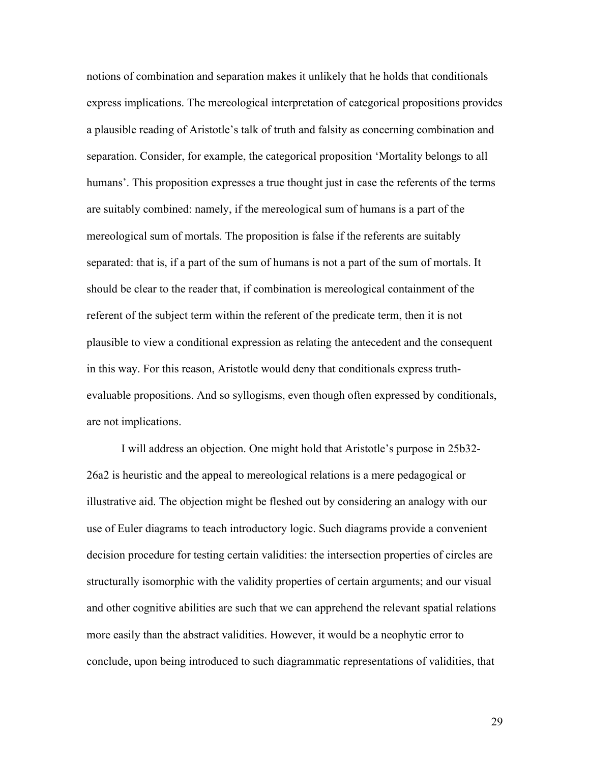notions of combination and separation makes it unlikely that he holds that conditionals express implications. The mereological interpretation of categorical propositions provides a plausible reading of Aristotle's talk of truth and falsity as concerning combination and separation. Consider, for example, the categorical proposition 'Mortality belongs to all humans'. This proposition expresses a true thought just in case the referents of the terms are suitably combined: namely, if the mereological sum of humans is a part of the mereological sum of mortals. The proposition is false if the referents are suitably separated: that is, if a part of the sum of humans is not a part of the sum of mortals. It should be clear to the reader that, if combination is mereological containment of the referent of the subject term within the referent of the predicate term, then it is not plausible to view a conditional expression as relating the antecedent and the consequent in this way. For this reason, Aristotle would deny that conditionals express truthevaluable propositions. And so syllogisms, even though often expressed by conditionals, are not implications.

I will address an objection. One might hold that Aristotle's purpose in 25b32- 26a2 is heuristic and the appeal to mereological relations is a mere pedagogical or illustrative aid. The objection might be fleshed out by considering an analogy with our use of Euler diagrams to teach introductory logic. Such diagrams provide a convenient decision procedure for testing certain validities: the intersection properties of circles are structurally isomorphic with the validity properties of certain arguments; and our visual and other cognitive abilities are such that we can apprehend the relevant spatial relations more easily than the abstract validities. However, it would be a neophytic error to conclude, upon being introduced to such diagrammatic representations of validities, that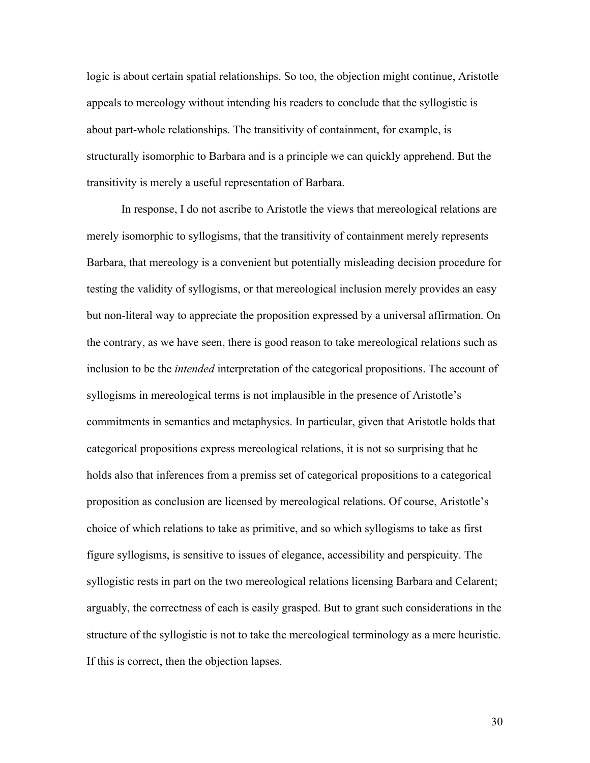logic is about certain spatial relationships. So too, the objection might continue, Aristotle appeals to mereology without intending his readers to conclude that the syllogistic is about part-whole relationships. The transitivity of containment, for example, is structurally isomorphic to Barbara and is a principle we can quickly apprehend. But the transitivity is merely a useful representation of Barbara.

In response, I do not ascribe to Aristotle the views that mereological relations are merely isomorphic to syllogisms, that the transitivity of containment merely represents Barbara, that mereology is a convenient but potentially misleading decision procedure for testing the validity of syllogisms, or that mereological inclusion merely provides an easy but non-literal way to appreciate the proposition expressed by a universal affirmation. On the contrary, as we have seen, there is good reason to take mereological relations such as inclusion to be the *intended* interpretation of the categorical propositions. The account of syllogisms in mereological terms is not implausible in the presence of Aristotle's commitments in semantics and metaphysics. In particular, given that Aristotle holds that categorical propositions express mereological relations, it is not so surprising that he holds also that inferences from a premiss set of categorical propositions to a categorical proposition as conclusion are licensed by mereological relations. Of course, Aristotle's choice of which relations to take as primitive, and so which syllogisms to take as first figure syllogisms, is sensitive to issues of elegance, accessibility and perspicuity. The syllogistic rests in part on the two mereological relations licensing Barbara and Celarent; arguably, the correctness of each is easily grasped. But to grant such considerations in the structure of the syllogistic is not to take the mereological terminology as a mere heuristic. If this is correct, then the objection lapses.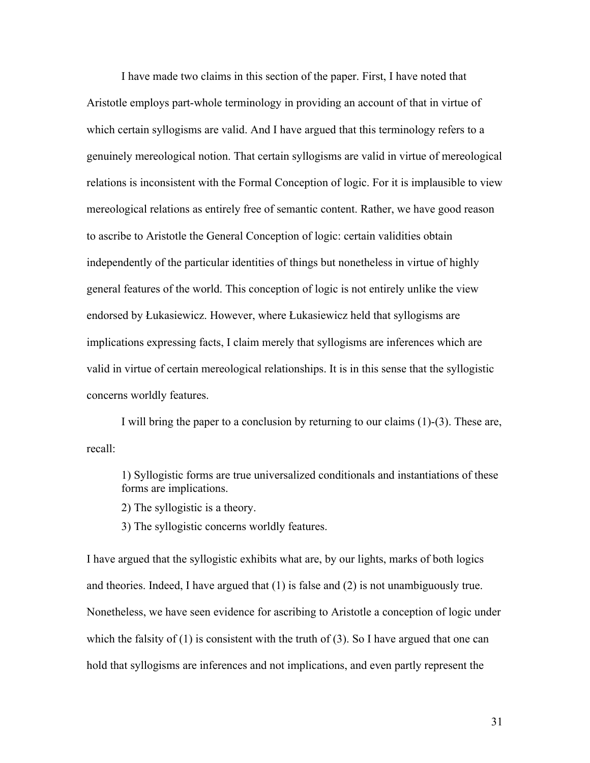I have made two claims in this section of the paper. First, I have noted that Aristotle employs part-whole terminology in providing an account of that in virtue of which certain syllogisms are valid. And I have argued that this terminology refers to a genuinely mereological notion. That certain syllogisms are valid in virtue of mereological relations is inconsistent with the Formal Conception of logic. For it is implausible to view mereological relations as entirely free of semantic content. Rather, we have good reason to ascribe to Aristotle the General Conception of logic: certain validities obtain independently of the particular identities of things but nonetheless in virtue of highly general features of the world. This conception of logic is not entirely unlike the view endorsed by Łukasiewicz. However, where Łukasiewicz held that syllogisms are implications expressing facts, I claim merely that syllogisms are inferences which are valid in virtue of certain mereological relationships. It is in this sense that the syllogistic concerns worldly features.

I will bring the paper to a conclusion by returning to our claims (1)-(3). These are, recall:

1) Syllogistic forms are true universalized conditionals and instantiations of these forms are implications.

2) The syllogistic is a theory.

3) The syllogistic concerns worldly features.

I have argued that the syllogistic exhibits what are, by our lights, marks of both logics and theories. Indeed, I have argued that (1) is false and (2) is not unambiguously true. Nonetheless, we have seen evidence for ascribing to Aristotle a conception of logic under which the falsity of  $(1)$  is consistent with the truth of  $(3)$ . So I have argued that one can hold that syllogisms are inferences and not implications, and even partly represent the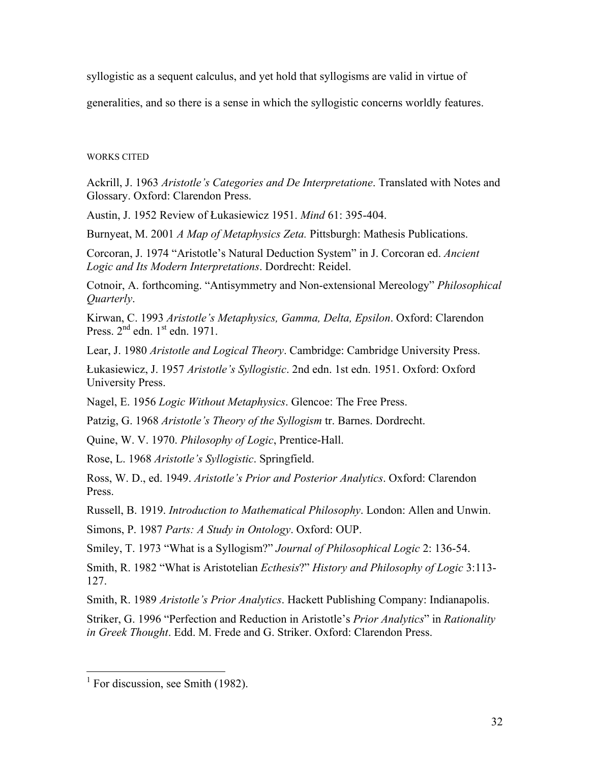syllogistic as a sequent calculus, and yet hold that syllogisms are valid in virtue of

generalities, and so there is a sense in which the syllogistic concerns worldly features.

## WORKS CITED

Ackrill, J. 1963 *Aristotle's Categories and De Interpretatione*. Translated with Notes and Glossary. Oxford: Clarendon Press.

Austin, J. 1952 Review of Łukasiewicz 1951. *Mind* 61: 395-404.

Burnyeat, M. 2001 *A Map of Metaphysics Zeta.* Pittsburgh: Mathesis Publications.

Corcoran, J. 1974 "Aristotle's Natural Deduction System" in J. Corcoran ed. *Ancient Logic and Its Modern Interpretations*. Dordrecht: Reidel.

Cotnoir, A. forthcoming. "Antisymmetry and Non-extensional Mereology" *Philosophical Quarterly*.

Kirwan, C. 1993 *Aristotle's Metaphysics, Gamma, Delta, Epsilon*. Oxford: Clarendon Press.  $2^{nd}$  edn.  $1^{st}$  edn. 1971.

Lear, J. 1980 *Aristotle and Logical Theory*. Cambridge: Cambridge University Press.

Łukasiewicz, J. 1957 *Aristotle's Syllogistic*. 2nd edn. 1st edn. 1951. Oxford: Oxford University Press.

Nagel, E. 1956 *Logic Without Metaphysics*. Glencoe: The Free Press.

Patzig, G. 1968 *Aristotle's Theory of the Syllogism* tr. Barnes. Dordrecht.

Quine, W. V. 1970. *Philosophy of Logic*, Prentice-Hall.

Rose, L. 1968 *Aristotle's Syllogistic*. Springfield.

Ross, W. D., ed. 1949. *Aristotle's Prior and Posterior Analytics*. Oxford: Clarendon Press.

Russell, B. 1919. *Introduction to Mathematical Philosophy*. London: Allen and Unwin.

Simons, P. 1987 *Parts: A Study in Ontology*. Oxford: OUP.

Smiley, T. 1973 "What is a Syllogism?" *Journal of Philosophical Logic* 2: 136-54.

Smith, R. 1982 "What is Aristotelian *Ecthesis*?" *History and Philosophy of Logic* 3:113- 127.

Smith, R. 1989 *Aristotle's Prior Analytics*. Hackett Publishing Company: Indianapolis.

Striker, G. 1996 "Perfection and Reduction in Aristotle's *Prior Analytics*" in *Rationality in Greek Thought*. Edd. M. Frede and G. Striker. Oxford: Clarendon Press.

<sup>&</sup>lt;sup>1</sup> For discussion, see Smith (1982).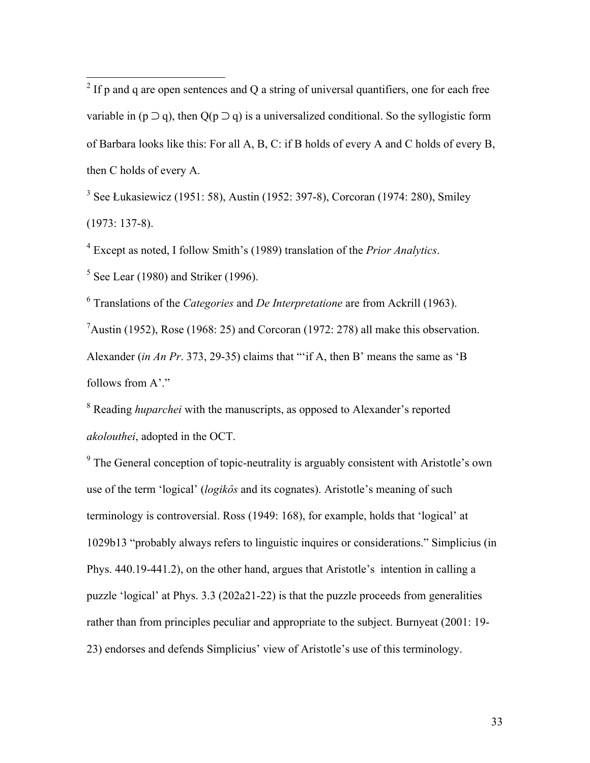<sup>2</sup> If p and q are open sentences and Q a string of universal quantifiers, one for each free variable in ( $p \supset q$ ), then  $Q(p \supset q)$  is a universalized conditional. So the syllogistic form of Barbara looks like this: For all A, B, C: if B holds of every A and C holds of every B, then C holds of every A.

<sup>3</sup> See Łukasiewicz (1951: 58), Austin (1952: 397-8), Corcoran (1974: 280), Smiley (1973: 137-8).

4 Except as noted, I follow Smith's (1989) translation of the *Prior Analytics*.

 $<sup>5</sup>$  See Lear (1980) and Striker (1996).</sup>

6 Translations of the *Categories* and *De Interpretatione* are from Ackrill (1963).

<sup>7</sup> Austin (1952), Rose (1968: 25) and Corcoran (1972: 278) all make this observation. Alexander (*in An Pr*. 373, 29-35) claims that "'if A, then B' means the same as 'B follows from A'."

<sup>8</sup> Reading *huparchei* with the manuscripts, as opposed to Alexander's reported *akolouthei*, adopted in the OCT.

 $9<sup>9</sup>$  The General conception of topic-neutrality is arguably consistent with Aristotle's own use of the term 'logical' (*logikôs* and its cognates). Aristotle's meaning of such terminology is controversial. Ross (1949: 168), for example, holds that 'logical' at 1029b13 "probably always refers to linguistic inquires or considerations." Simplicius (in Phys. 440.19-441.2), on the other hand, argues that Aristotle's intention in calling a puzzle 'logical' at Phys. 3.3 (202a21-22) is that the puzzle proceeds from generalities rather than from principles peculiar and appropriate to the subject. Burnyeat (2001: 19- 23) endorses and defends Simplicius' view of Aristotle's use of this terminology.